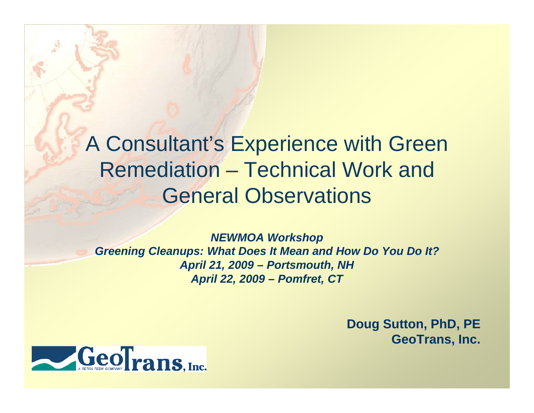#### A Consultant's Experience with Green **Remediation** –- Technical Work and General Observations

*NEWMOA Workshop Greening Cleanups: What Does It Mean and How Do You Do It? April 21, 2009 – Portsmouth, NH A p , ril 22, 2009 – Pomfret, C T*

> **Doug Sutton, PhD, PE GeoTrans, Inc.**

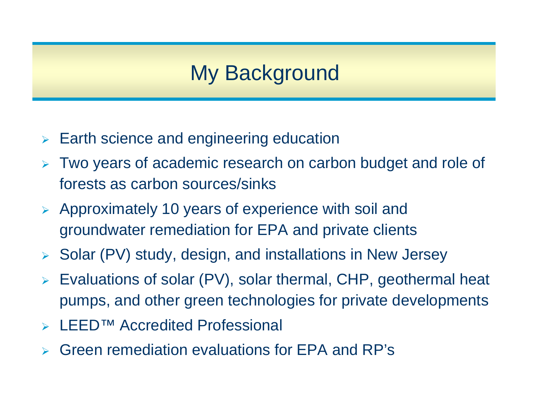## My Background

- ¾ Earth science and engineering education
- ¾ Two years of academic research on carbon budget and role of forests as carbon sources/sinks
- ¾ Approximately 10 years of experience with soil and groundwater remediation for EPA and private clients
- ¾Solar (PV) study, design, and installations in New Jersey
- ¾ Evaluations of solar (PV), solar thermal, CHP, geothermal heat pumps, and other green technologies for private developments
- ¾LEED™ Accredited Professional
- ¾Green remediation evaluations for EPA and RP's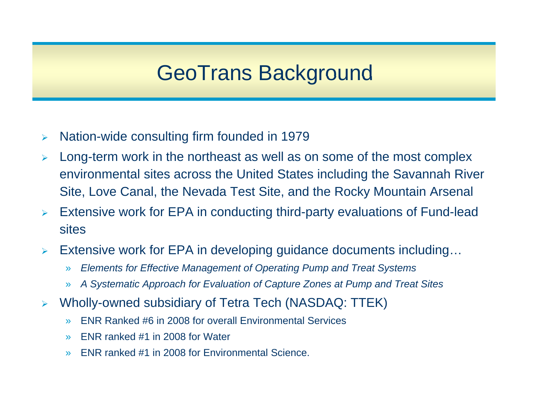## GeoTrans Background

- $\blacktriangleright$ Nation-wide consulting firm founded in 1979
- $\blacktriangleright$  Long-term work in the northeast as well as on some of the most complex environmental sites across the United States includin g the Savannah River Site, Love Canal, the Nevada Test Site, and the Rocky Mountain Arsenal
- $\blacktriangleright$  Extensive work for EPA in conducting third-party evaluations of Fund-lead sites
- $\blacktriangleright$  Extensive work for EPA in developing guidance documents including…
	- »*Elements for Effective Management of Operating Pump and Treat Systems*
	- »A Systematic Approach for Evaluation of Capture Zones at Pump and Treat Sites
- ¾ Wholly-owned subsidiary of Tetra Tech (NASDAQ: TTEK)
	- »ENR Ranked #6 in 2008 for overall Environmental Services
	- »ENR ranked #1 in 2008 for Water Water
	- »ENR ranked #1 in 2008 for Environmental Science.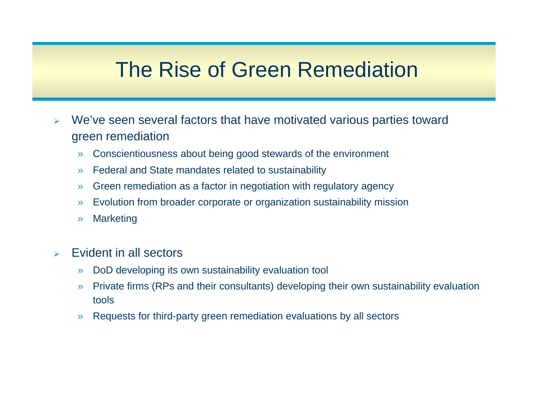### The Rise of Green Remediation

- ¾ We've seen several factors that have motivated various parties toward green remediation
	- »Conscientiousness about being good stewards of the environment
	- »Federal and State mandates related to sustainability
	- »Green remediation as a factor in negotiation with regulatory agency
	- »Evolution from broader corporate or organization sustainability mission
	- »**Marketing**
- $\blacktriangleright$  Evident in all sectors
	- »DoD developing its own sustainability evaluation tool
	- »» Private firms (RPs and their consultants) developing their own sustainability evaluation tools
	- »Requests for third-party green remediation evaluations by all sectors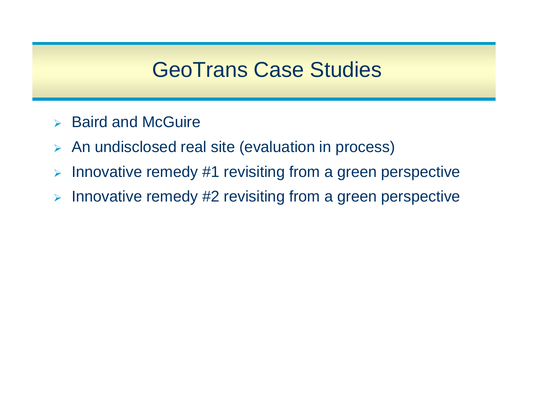## **GeoTrans Case Studies**

- ¾ Baird and McGuire
- ¾ An undisclosed real site (evaluation in process)
- ¾Innovative remedy #1 revisiting from a green perspective
- ¾ Innovative remedy #2 revisiting from a green perspective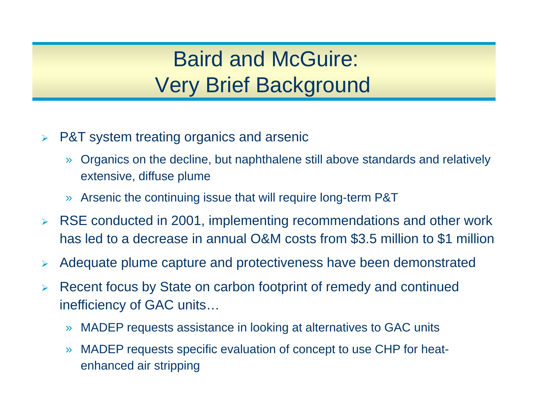# Baird and McGuire: Very Brief Background

- ¾ P&T system treating organics and arsenic
	- » Organics on the decline, but naphthalene still above standards and relatively extensive, diffuse plume
	- »Arsenic the continuing issue that will require long-term P&T
- ¾ RSE conducted in 2001, implementing recommendations and other work has led to a decrease in annual O&M costs from \$3.5 million to \$1 million
- $\blacktriangleright$ Adequate plume capture and protectiveness have been demonstrated
- ¾Recent focus by State on carbon footprint of remedy and continued inefficiency of GAC units…
	- » MADEP requests assistance in looking at alternatives to GAC units
	- » MADEP requests specific evaluation of concept to use CHP for heatenhanced air stripping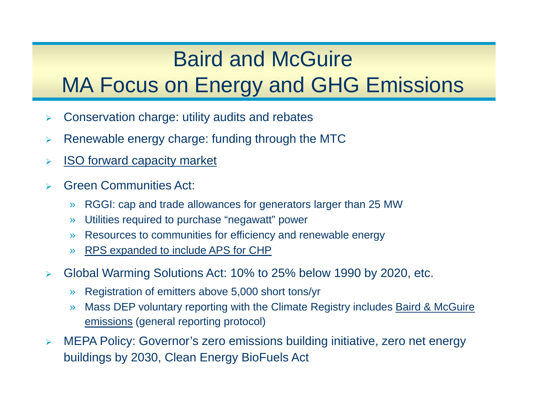## Baird and McGuire

## MA Focus on Energy and GHG Emissions

- $\blacktriangleright$ Conservation charge: utility audits and rebates
- ¾Renewable energy charge: funding through the MTC
- $\blacktriangleright$ ISO forward capacity market
- $\blacktriangleright$  Green Communities Act:
	- »RGGI: cap and trade allowances for generators larger than 25 MW
	- »Utilities required to purchase "negawatt" power
	- »Resources to communities for efficiency and renewable energy
	- »RPS expanded to include APS for CHP
- $\blacktriangleright$  Global Warming Solutions Act: 10% to 25% below 1990 by 2020, etc.
	- »Registration of emitters above 5,000 short tons/yr
	- » Mass DEP voluntary reporting with the Climate Registry includes Baird & McGuire emissions (general reporting protocol)
- $\blacktriangleright$  MEPA Policy: Governor's zero emissions building initiative, zero net energy buildings by 2030, Clean Energy BioFuels Act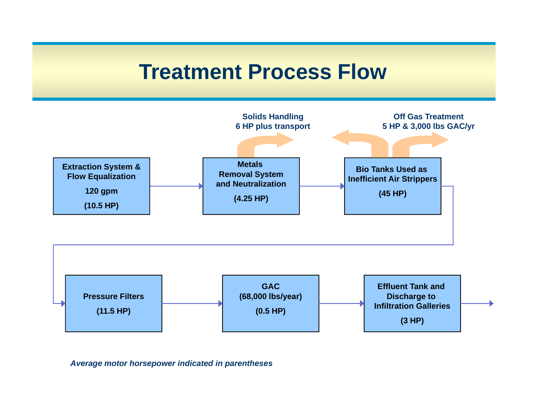#### **Treatment Process Flow**





*Average motor horsepower indicated in parentheses*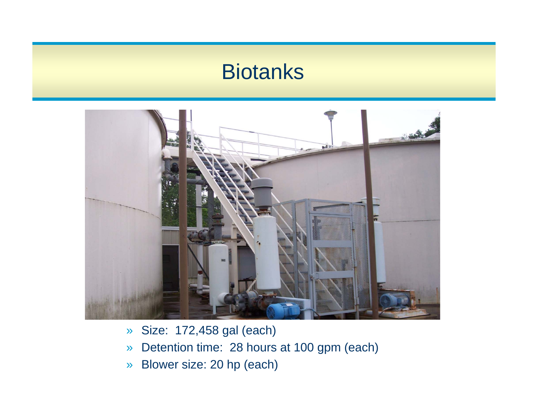#### Biotanks



- »Size: 172,458 gal (each)
- »Detention time: 28 hours at 100 gpm (each)
- »Blower size: 20 hp (each)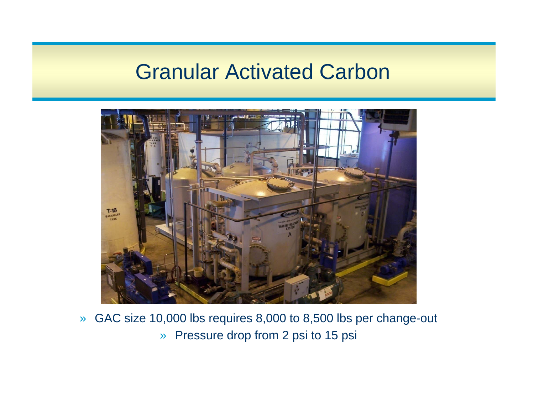### **Granular Activated Carbon**



» GAC size 10,000 lbs requires 8,000 to 8,500 lbs per change-out » Pressure drop from 2 psi to 15 psi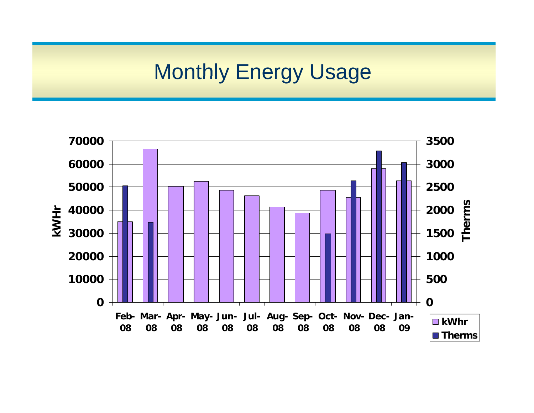## Monthly Energy Usage

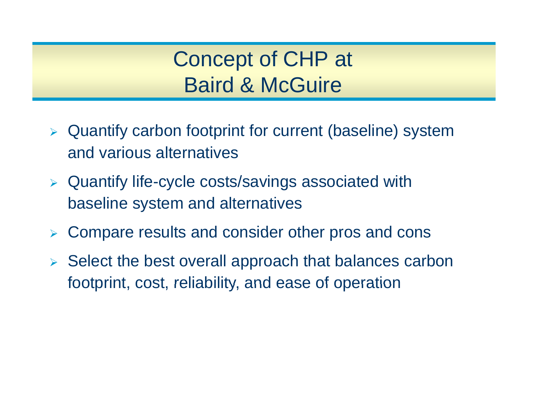## Concept of CHP at Baird & McGuire

- $\triangleright$  Quantify carbon footprint for current (baseline) system and various alternatives
- $\triangleright$  Quantify life-cycle costs/savings associated with baseline system and alternatives
- ¾ Compare results and consider other pros and cons
- ¾ Select the best overall approach that balances carbon footprint, cost, reliability, and ease of operation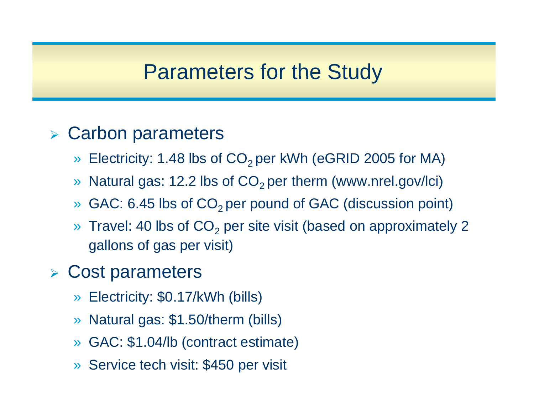#### Parameters for the Study

#### **> Carbon parameters**

- »Electricity: 1.48 lbs of  $CO<sub>2</sub>$  per kWh (eGRID 2005 for MA)
- »Natural gas: 12.2 lbs of  $CO<sub>2</sub>$  per therm (www.nrel.gov/lci)
- »GAC: 6.45 lbs of CO<sub>2</sub> per pound of GAC (discussion point)
- »» Travel: 40 lbs of  $CO<sub>2</sub>$  per site visit (based on approximately 2 gallons of gas per visit)

#### ¾ Cost parameters

- »Electricity: \$0.17/kWh (bills)
- »Natural gas: \$1.50/therm (bills)
- » GAC: \$1.04/lb (contract estimate)
- » Service tech visit: \$450 per visit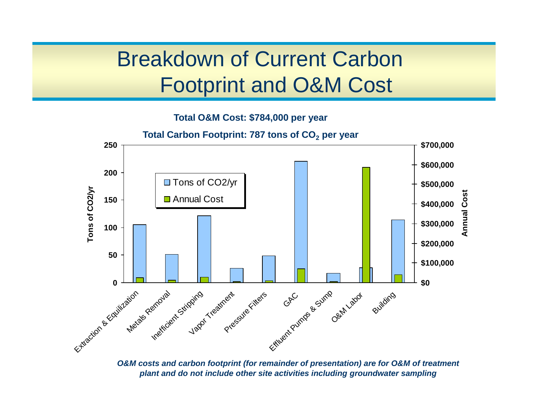## Breakdown of Current Carbon Footprint and O&M Cost

**Total O&M Cost: \$784,000 per year**



*O&M costs and carbon footprint (for remainder of presentation) are for O&M of treatment plant and do not include other site activities including groundwater sampling*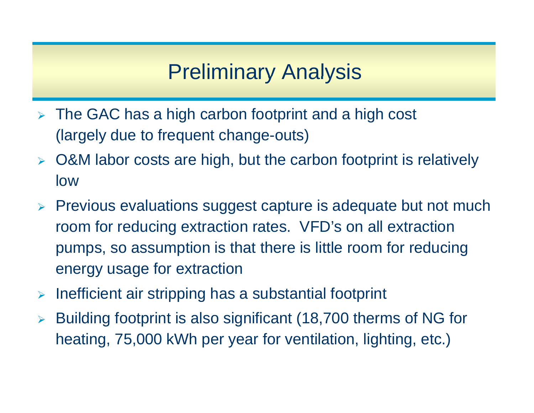## Preliminary Analysis

- ¾ The GAC has a high carbon footprint and a high cost (largely due to frequent change-outs)
- ¾ O&M labor costs are high, but the carbon footprint is relatively low
- ¾ Previous evaluations suggest capture is adequate but not much room for reducin g extraction rates. VFD's on all extraction pumps, so assumption is that there is little room for reducing energy usage for extraction
- $\blacktriangleright$ Inefficient air stripping has a substantial footprint
- ¾ Building footprint is also significant (18,700 therms of NG for heating, 75,000 kWh per year for ventilation, lighting, etc.)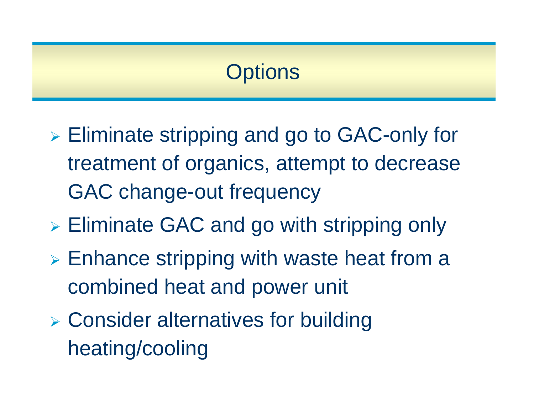## **Options**

- $\triangleright$  Eliminate stripping and go to GAC-only for treatment of organics, attempt to decrease GAC change-out frequency
- $\triangleright$  Eliminate GAC and go with stripping only
- ¾ Enhance stripping with waste heat from a combined heat and power unit
- ¾ Consider alternatives for building heating/cooling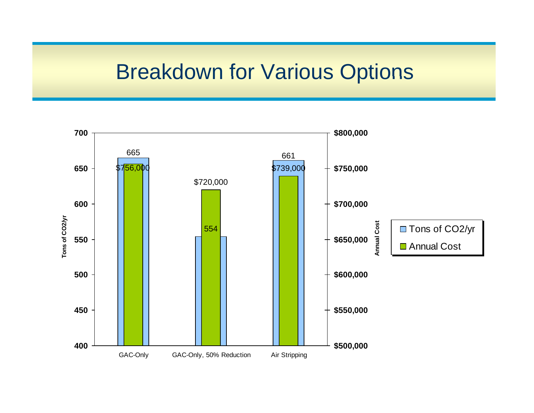### Breakdown for Various Options

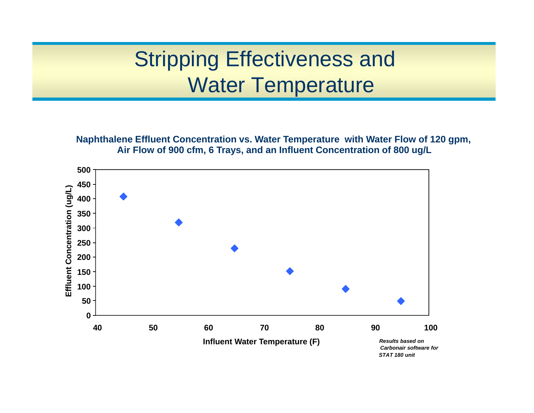## Stripping Effectiveness and Water Temperature

**Naphthalene Effluent Concentration vs. Water Temperature with Water Flow of 120 gpm, Air Flow of 900 cfm, 6 Trays, and an Influent Concentration of 800 ug/L**

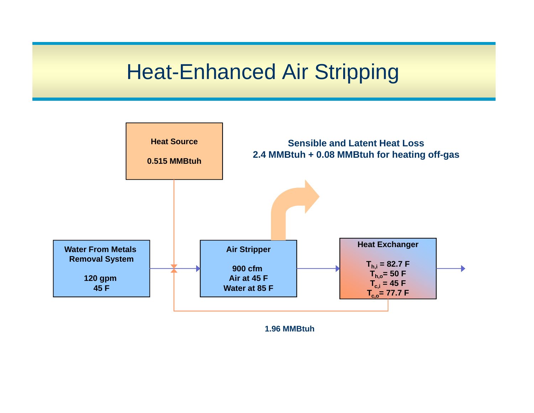## **Heat-Enhanced Air Stripping**



**1.96 MMBtuh**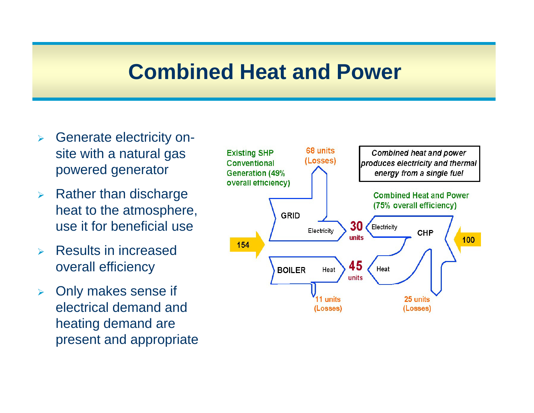#### **Combined Heat and Power**

- ¾ Generate electricity onsite with a natural gas powered generator
- $\blacktriangleright$  Rather than discharge heat to the atmosphere, use it for beneficial use
- ¾ Results in increased overall efficiency
- $\blacktriangleright$  Only makes sense if electrical demand and heating demand are present and appropriate

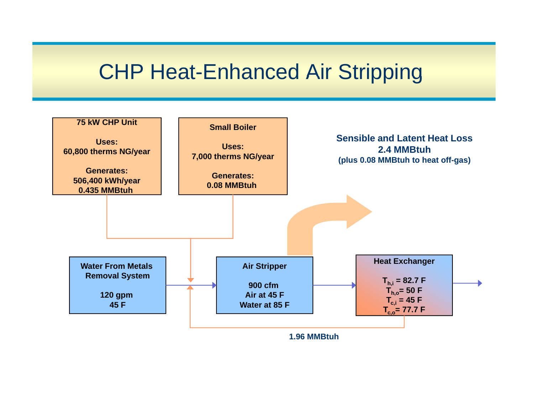### **CHP Heat-Enhanced Air Stripping**

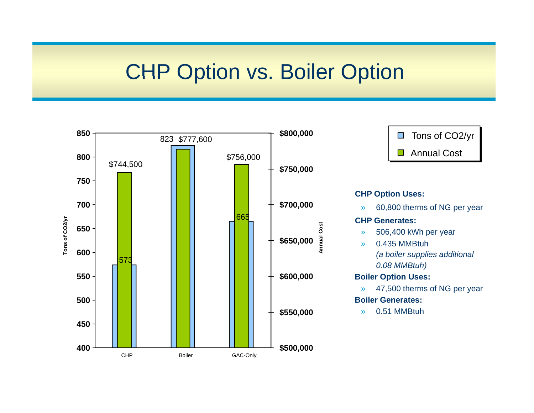### **CHP Option vs. Boiler Option**

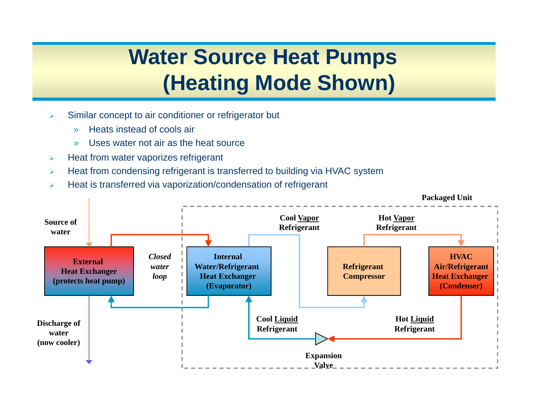## **Water Source Heat Pumps (Heating Mode Shown)**

- ¾ Similar concept to air conditioner or refrigerator but
	- »Heats instead of cools air
	- »Uses water not air as the heat source
- ¾Heat from water vaporizes refrigerant
- ¾Heat from condensing refrigerant is transferred to building via HVAC system
- ¾Heat is transferred via vaporization/condensation of refrigerant

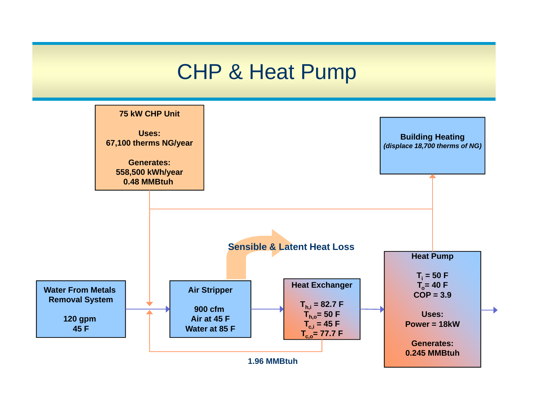#### CHP & Heat Pump

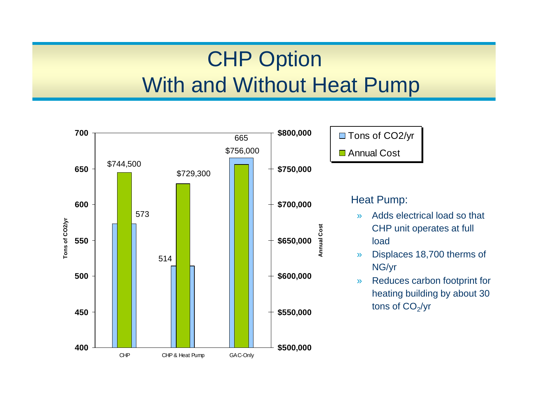# CHP Option With and Without Heat Pump

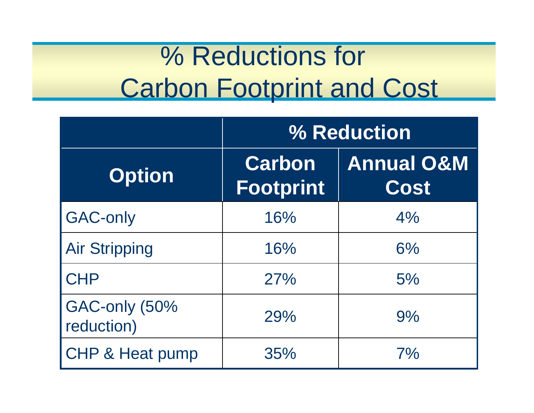# % Reductions for Carbon Footprint and Cost

|                             | % Reduction                       |                               |
|-----------------------------|-----------------------------------|-------------------------------|
| <b>Option</b>               | <b>Carbon</b><br><b>Footprint</b> | <b>Annual O&amp;M</b><br>Cost |
| <b>GAC-only</b>             | 16%                               | 4%                            |
| <b>Air Stripping</b>        | 16%                               | 6%                            |
| <b>CHP</b>                  | 27%                               | 5%                            |
| GAC-only (50%<br>reduction) | 29%                               | 9%                            |
| <b>CHP &amp; Heat pump</b>  | 35%                               | 7%                            |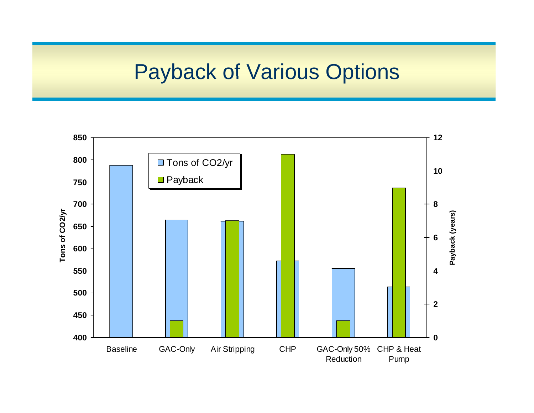### Payback of Various Options

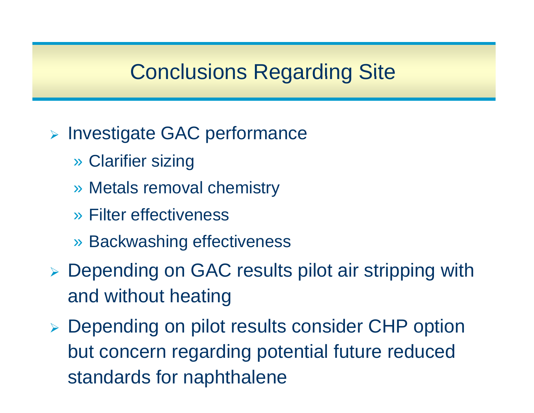## Conclusions Regarding Site

- **Example GAC performance** 
	- » Clarifier sizing
	- » Metals removal chemistry
	- » Filter effectiveness
	- » Backwashing effectiveness
- ¾ Depending on GAC results pilot air stripping with and without heating
- > Depending on pilot results consider CHP option but concern regarding potential future reduced standards for naphthalene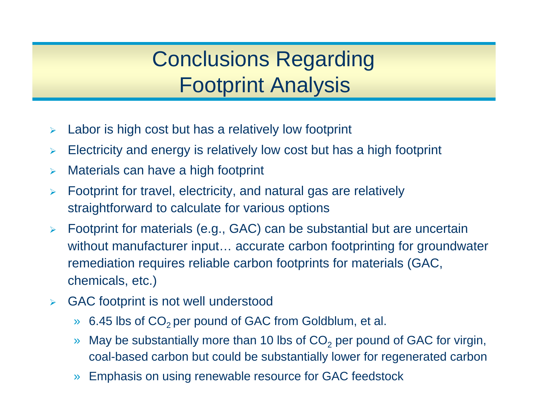## Conclusions Regarding Footprint Analysis

- ¾ $\triangleright$  Labor is high cost but has a relatively low footprint
- ¾Electricity and energy is relatively low cost but has a high footprint
- $\blacktriangleright$ Materials can have a high footprint
- ¾ Footprint for travel, electricity, and natural gas are relatively straightforward to calculate for various options
- ¾ Footprint for materials (e.g., GAC) can be substantial but are uncertain without manufacturer input… accurate carbon footprinting for groundwater remediation requires reliable carbon footprints for materials (GAC, chemicals, etc.)
- $\blacktriangleright$  GAC footprint is not well understood
	- »6.45 lbs of  $CO<sub>2</sub>$  per pound of GAC from Goldblum, et al.
	- »» May be substantially more than 10 lbs of  $CO<sub>2</sub>$  per pound of GAC for virgin, coal-based carbon but could be substantially lower for regenerated carbon
	- »Emphasis on using renewable resource for GAC feedstock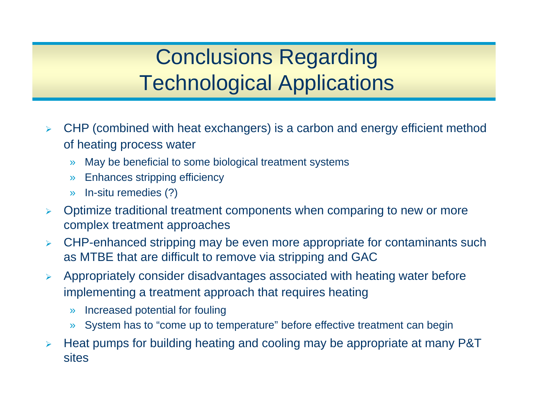## Conclusions Regarding Technological Applications

- $\blacktriangleright$  $\triangleright$  CHP (combined with heat exchangers) is a carbon and energy efficient method of heating process water
	- »May be beneficial to some biological treatment systems
	- »Enhances stripping efficiency
	- »In-situ remedies (?)
- $\blacktriangleright$  Optimize traditional treatment components when comparing to new or more complex treatment approaches
- $\blacktriangleright$  CHP-enhanced stripping may be even more appropriate for contaminants such as MTBE that are difficult to remove via stripping and GAC
- $\blacktriangleright$  Appropriately consider disadvantages associated with heating water before implementing a treatment approach that requires heating
	- »Increased potential for fouling
	- »System has to "come up to temperature" before effective treatment can begin
- $\blacktriangleright$  Heat pumps for building heating and cooling may be appropriate at many P&T sites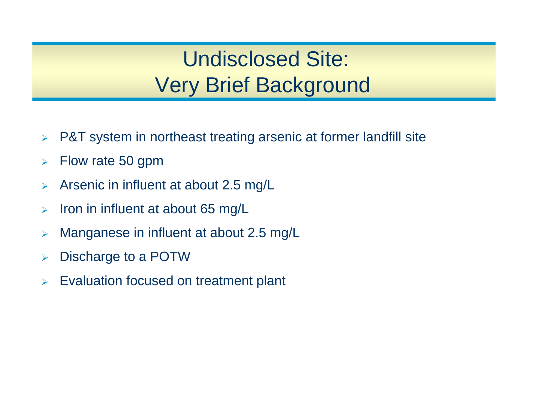## Undisclosed Site: Very Brief Background

- $\blacktriangleright$ P&T system in northeast treating arsenic at former landfill site
- $\blacktriangleright$ Flow rate 50 gpm
- $\blacktriangleright$ Arsenic in influent at about 2.5 mg/L
- ¾Iron in influent at about 65 mg/L
- $\blacktriangleright$ Manganese in influent at about 2.5 mg/L
- $\blacktriangleright$ Discharge to a POTW
- ¾Evaluation focused on treatment plant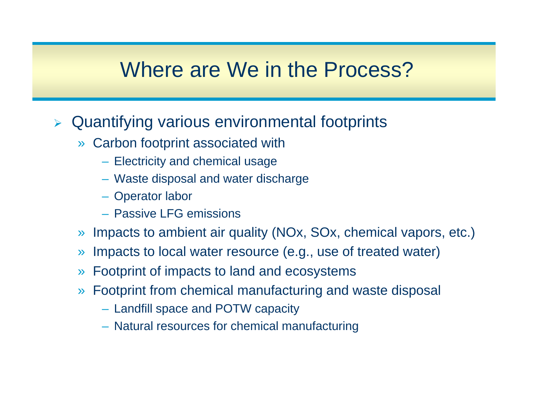#### Where are We in the Process?

#### > Quantifying various environmental footprints

- » Carbon footprint associated with
	- Electricity and chemical usage
	- $-$  Waste disposal and water discharge
	- Operator labor
	- Passive LFG emissions
- » Impacts to ambient air quality (NOx, SOx, chemical vapors, etc.)
- » Impacts to local water resource (e.g., use of treated water)
- » Footprint of impacts to land and ecosystems
- » Footprint from chemical manufacturing and waste disposal
	- Landfill space and POTW capacity
	- Natural resources for chemical manufacturing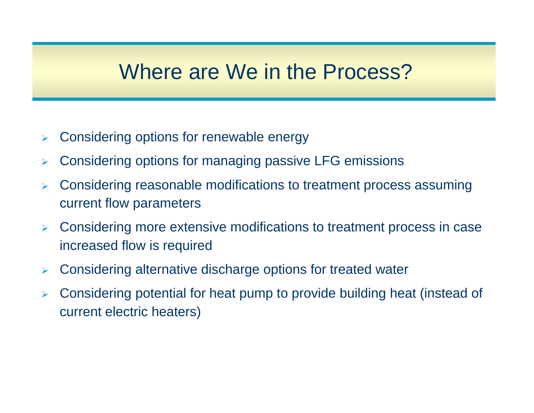#### Where are We in the Process?

- ¾Considering options for renewable energy
- ¾Considering options for managing passive LFG emissions
- ¾ $\triangleright$  Considering reasonable modifications to treatment process assuming current flow parameters
- $\blacktriangleright$  $\triangleright$  Considering more extensive modifications to treatment process in case increased flow is required
- ¾Considering alternative discharge options for treated water
- ¾ Considering potential for heat pump to provide building heat (instead of current electric heaters)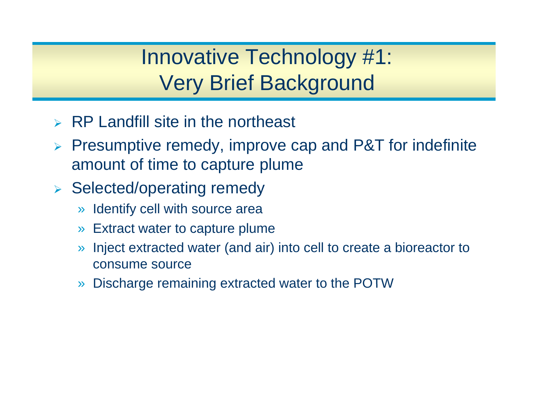## Innovative Technology #1: Very Brief Background

- ¾RP Landfill site in the northeast
- ¾ Presumptive remedy, improve cap and P&T for indefinite amount of time to capture plume
- ¾ Selected/operating remedy
	- » Identify cell with source area
	- » Extract water to capture plume
	- » Inject extracted water (and air) into cell to create a bioreactor to consume source
	- »Discharge remaining extracted water to the POTW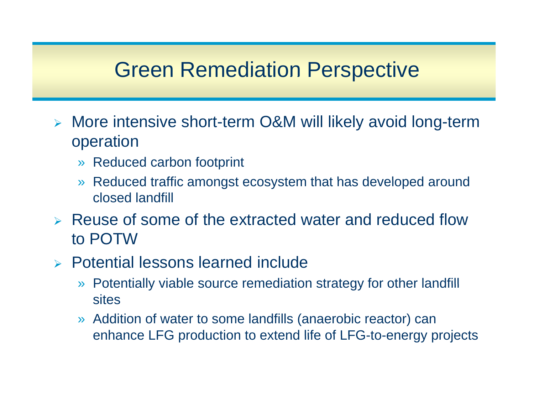### Green Remediation Perspective

- > More intensive short-term O&M will likely avoid long-term operation
	- » Reduced carbon footprint
	- »Reduced traffic amongst ecosystem that has developed around closed landfill
- ¾ Reuse of some of the extracted water and reduced flow to POTW
- ¾ Potential lessons learned include
	- » Potentially viable source remediation strategy for other landfill **sites**
	- » Addition of water to some landfills (anaerobic reactor) can enhance LFG production to extend life of LFG-to-energy projects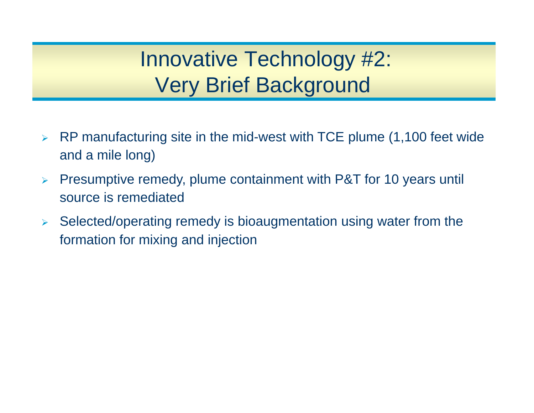Innovative Technology #2: Very Brief Background

- $\blacktriangleright$  RP manufacturing site in the mid-west with TCE plume (1,100 feet wide and a mile long)
- $\blacktriangleright$ Presumptive remedy, plume containment with P&T for 10 years until source is remediated
- $\blacktriangleright$  Selected/operating remedy is bioaugmentation using water from the formation for mixing and injection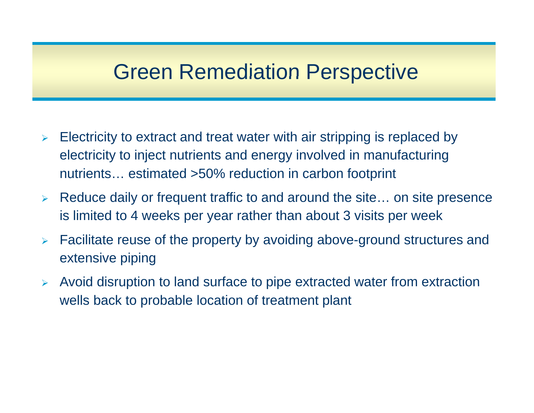### Green Remediation Perspective

- $\blacktriangleright$  Electricity to extract and treat water with air stripping is replaced by electricity to inject nutrients and energy involved in manufacturing nutrients… estimated >50% reduction in carbon foot print
- $\blacktriangleright$  Reduce daily or frequent traffic to and around the site… on site presence is limited to 4 weeks per year rather than about 3 visits per week
- $\blacktriangleright$  Facilitate reuse of the property by avoiding above-ground structures and extensive piping
- ¾ Avoid disruption to land surface to pipe extracted water from extraction wells back to probable location of treatment plant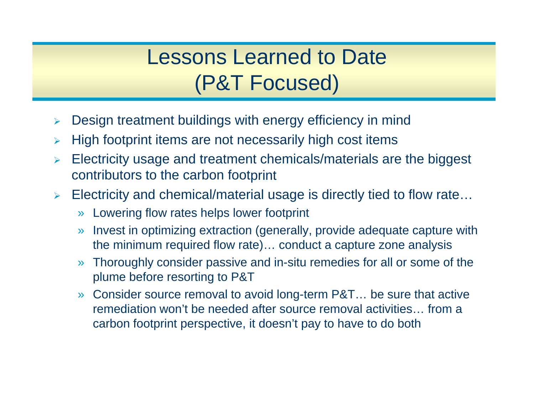## Lessons Learned to Date(P&T Focused)

- ¾Design treatment buildings with energy efficiency in mind
- $\blacktriangleright$ High footprint items are not necessarily high cost items
- $\blacktriangleright$  Electricity usage and treatment chemicals/materials are the biggest contributors to the carbon foot print
- $\blacktriangleright$  Electricity and chemical/material usage is directly tied to flow rate…
	- » Lowering flow rates helps lower footprint
	- » Invest in optimizing extraction (generally, provide adequate capture with the minimum required flow rate)… conduct a capture zone analysis
	- » Thoroughly consider passive and in-situ remedies for all or some of the plume before resorting to P&T
	- » Consider source removal to avoid long-term P&T… be sure that active remediation won't be needed after source removal activities… from a carbon footprint perspective, it doesn't pay to have to do both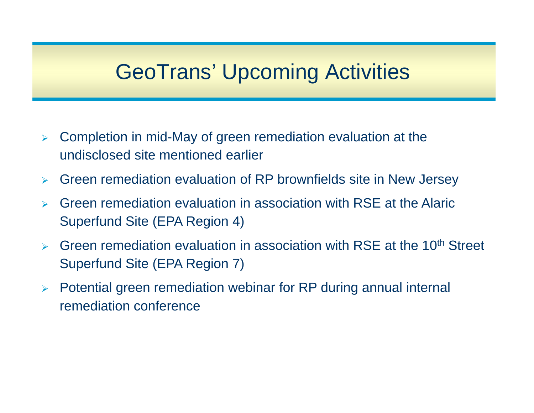## **GeoTrans' Upcoming Activities**

- ¾ Completion in mid-May of green remediation evaluation at the undisclosed site mentioned earlier
- $\blacktriangleright$ Green remediation evaluation of RP brownfields site in New Jersey
- ¾ Green remediation evaluation in association with RSE at the Alaric Superfund Site (EPA Region 4)
- $\blacktriangleright$ Green remediation evaluation in association with RSE at the 10<sup>th</sup> Street Superfund Site (EPA Region 7)
- ¾Potential green remediation webinar for RP during annual internal remediation conference